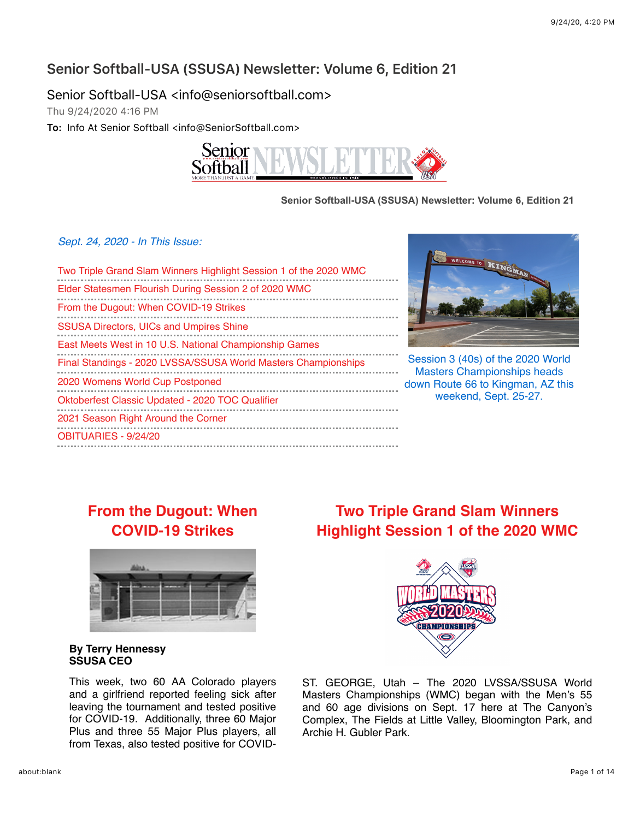### **Senior Softball-USA (SSUSA) Newsletter: Volume 6, Edition 21**

Senior Softball-USA <info@seniorsoftball.com>

Thu 9/24/2020 4?16 PM

**To:** Info At Senior Softball <info@SeniorSoftball.com>



#### **Senior Softball-USA (SSUSA) Newsletter: Volume 6, Edition 21**

*Sept. 24, 2020 - In This Issue:*

| Two Triple Grand Slam Winners Highlight Session 1 of the 2020 WMC<br>Elder Statesmen Flourish During Session 2 of 2020 WMC |
|----------------------------------------------------------------------------------------------------------------------------|
| From the Dugout: When COVID-19 Strikes                                                                                     |
| <b>SSUSA Directors, UICs and Umpires Shine</b><br>East Meets West in 10 U.S. National Championship Games                   |
| Final Standings - 2020 LVSSA/SSUSA World Masters Championships                                                             |
| 2020 Womens World Cup Postponed                                                                                            |
| Oktoberfest Classic Updated - 2020 TOC Qualifier                                                                           |
| 2021 Season Right Around the Corner                                                                                        |
| OBITUARIES - 9/24/20                                                                                                       |
|                                                                                                                            |



Session 3 (40s) of the 2020 World Masters Championships heads down Route 66 to Kingman, AZ this weekend, Sept. 25-27.

# **[From the Dugout: When](https://mandrillapp.com/track/click/30606666/seniorsoftball.com?p=eyJzIjoiQnAycERBTGRXOUJocFpGd0NJTnc2WTR3cGRNIiwidiI6MSwicCI6IntcInVcIjozMDYwNjY2NixcInZcIjoxLFwidXJsXCI6XCJodHRwczpcXFwvXFxcL3NlbmlvcnNvZnRiYWxsLmNvbVxcXC8_bmV3cyZzdG9yeT0xNzE4XCIsXCJpZFwiOlwiN2ZmNTU2MTAwZDBmNDEyNWI1YjFjYmVmOWM2ZDVjNzRcIixcInVybF9pZHNcIjpbXCJlNWU4MWZkMjc5ODZmMDdlOTJiZTQyZmM1NWM1MjM5MzU3MjcxYzQ4XCJdfSJ9) COVID-19 Strikes**



#### **By Terry Hennessy SSUSA CEO**

This week, two 60 AA Colorado players and a girlfriend reported feeling sick after leaving the tournament and tested positive for COVID-19. Additionally, three 60 Major Plus and three 55 Major Plus players, all from Texas, also tested positive for COVID-

# **Two Triple Grand Slam Winners [Highlight Session 1 of the 2020 WMC](https://mandrillapp.com/track/click/30606666/seniorsoftball.com?p=eyJzIjoiNEVLNEdXVHBvSUhoYnBQUnFNUFBmYWJxS0RBIiwidiI6MSwicCI6IntcInVcIjozMDYwNjY2NixcInZcIjoxLFwidXJsXCI6XCJodHRwczpcXFwvXFxcL3NlbmlvcnNvZnRiYWxsLmNvbVxcXC8_bmV3cyZzdG9yeT0xNzEzXCIsXCJpZFwiOlwiN2ZmNTU2MTAwZDBmNDEyNWI1YjFjYmVmOWM2ZDVjNzRcIixcInVybF9pZHNcIjpbXCJlNWU4MWZkMjc5ODZmMDdlOTJiZTQyZmM1NWM1MjM5MzU3MjcxYzQ4XCJdfSJ9)**



ST. GEORGE, Utah – The 2020 LVSSA/SSUSA World Masters Championships (WMC) began with the Men's 55 and 60 age divisions on Sept. 17 here at The Canyon's Complex, The Fields at Little Valley, Bloomington Park, and Archie H. Gubler Park.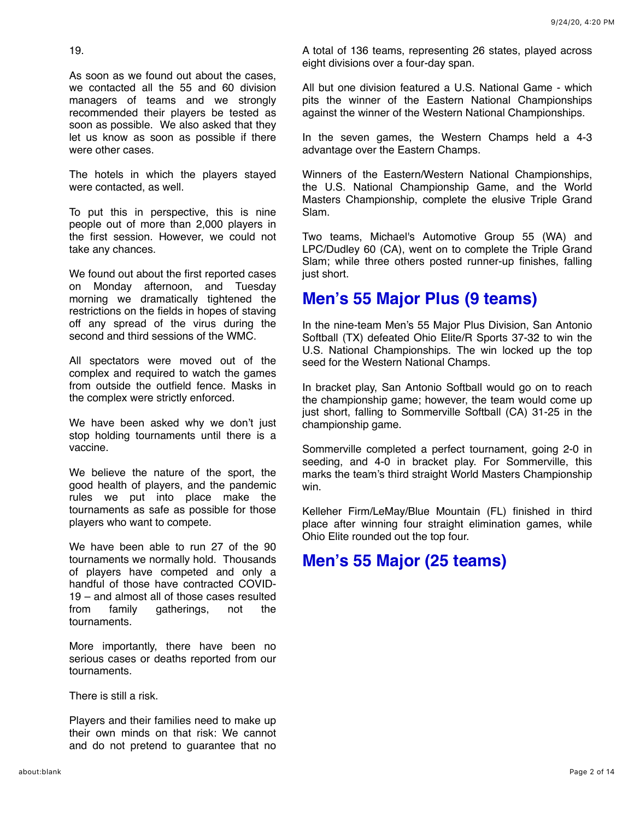19.

As soon as we found out about the cases, we contacted all the 55 and 60 division managers of teams and we strongly recommended their players be tested as soon as possible. We also asked that they let us know as soon as possible if there were other cases.

The hotels in which the players stayed were contacted, as well.

To put this in perspective, this is nine people out of more than 2,000 players in the first session. However, we could not take any chances.

We found out about the first reported cases on Monday afternoon, and Tuesday morning we dramatically tightened the restrictions on the fields in hopes of staving off any spread of the virus during the second and third sessions of the WMC.

All spectators were moved out of the complex and required to watch the games from outside the outfield fence. Masks in the complex were strictly enforced.

We have been asked why we don't just stop holding tournaments until there is a vaccine.

We believe the nature of the sport, the good health of players, and the pandemic rules we put into place make the tournaments as safe as possible for those players who want to compete.

We have been able to run 27 of the 90 tournaments we normally hold. Thousands of players have competed and only a handful of those have contracted COVID-19 – and almost all of those cases resulted from family gatherings, not the tournaments.

More importantly, there have been no serious cases or deaths reported from our tournaments.

There is still a risk.

Players and their families need to make up their own minds on that risk: We cannot and do not pretend to guarantee that no

A total of 136 teams, representing 26 states, played across eight divisions over a four-day span.

All but one division featured a U.S. National Game - which pits the winner of the Eastern National Championships against the winner of the Western National Championships.

In the seven games, the Western Champs held a 4-3 advantage over the Eastern Champs.

Winners of the Eastern/Western National Championships, the U.S. National Championship Game, and the World Masters Championship, complete the elusive Triple Grand Slam.

Two teams, Michael's Automotive Group 55 (WA) and LPC/Dudley 60 (CA), went on to complete the Triple Grand Slam; while three others posted runner-up finishes, falling just short.

## **Men's 55 Major Plus (9 teams)**

In the nine-team Men's 55 Major Plus Division, San Antonio Softball (TX) defeated Ohio Elite/R Sports 37-32 to win the U.S. National Championships. The win locked up the top seed for the Western National Champs.

In bracket play, San Antonio Softball would go on to reach the championship game; however, the team would come up just short, falling to Sommerville Softball (CA) 31-25 in the championship game.

Sommerville completed a perfect tournament, going 2-0 in seeding, and 4-0 in bracket play. For Sommerville, this marks the team's third straight World Masters Championship win.

Kelleher Firm/LeMay/Blue Mountain (FL) finished in third place after winning four straight elimination games, while Ohio Elite rounded out the top four.

# **Men's 55 Major (25 teams)**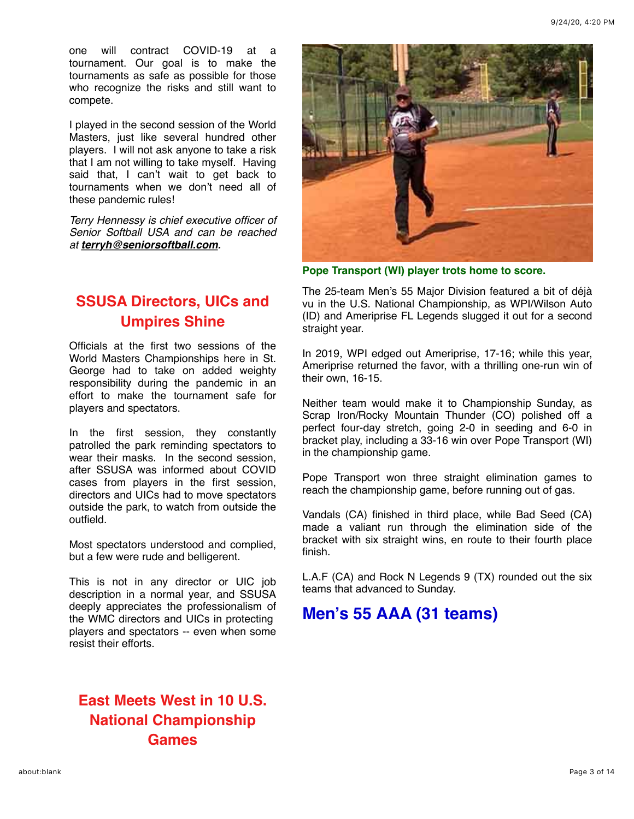one will contract COVID-19 at a tournament. Our goal is to make the tournaments as safe as possible for those who recognize the risks and still want to compete.

I played in the second session of the World Masters, just like several hundred other players. I will not ask anyone to take a risk that I am not willing to take myself. Having said that, I can't wait to get back to tournaments when we don't need all of these pandemic rules!

*Terry Hennessy is chief executive officer of Senior Softball USA and can be reached at [terryh@seniorsoftball.com.](mailto:terryh@seniorsoftball.com)*

# **[SSUSA Directors, UICs and](https://mandrillapp.com/track/click/30606666/seniorsoftball.com?p=eyJzIjoicnpCMGN2T010RWRqVDY0bFE3VFZnRkljSU4wIiwidiI6MSwicCI6IntcInVcIjozMDYwNjY2NixcInZcIjoxLFwidXJsXCI6XCJodHRwczpcXFwvXFxcL3NlbmlvcnNvZnRiYWxsLmNvbVxcXC8_bmV3cyZzdG9yeT0xNzE5XCIsXCJpZFwiOlwiN2ZmNTU2MTAwZDBmNDEyNWI1YjFjYmVmOWM2ZDVjNzRcIixcInVybF9pZHNcIjpbXCJlNWU4MWZkMjc5ODZmMDdlOTJiZTQyZmM1NWM1MjM5MzU3MjcxYzQ4XCJdfSJ9) Umpires Shine**

Officials at the first two sessions of the World Masters Championships here in St. George had to take on added weighty responsibility during the pandemic in an effort to make the tournament safe for players and spectators.

In the first session, they constantly patrolled the park reminding spectators to wear their masks. In the second session, after SSUSA was informed about COVID cases from players in the first session, directors and UICs had to move spectators outside the park, to watch from outside the outfield.

Most spectators understood and complied, but a few were rude and belligerent.

This is not in any director or UIC job description in a normal year, and SSUSA deeply appreciates the professionalism of the WMC directors and UICs in protecting players and spectators -- even when some resist their efforts.

# **[East Meets West in 10 U.S.](https://mandrillapp.com/track/click/30606666/seniorsoftball.com?p=eyJzIjoid3pGQjFheUQxNHZtbHVreGQxZEVuVXFtSklnIiwidiI6MSwicCI6IntcInVcIjozMDYwNjY2NixcInZcIjoxLFwidXJsXCI6XCJodHRwczpcXFwvXFxcL3NlbmlvcnNvZnRiYWxsLmNvbVxcXC8_bmV3cyZzdG9yeT0xNzE1XCIsXCJpZFwiOlwiN2ZmNTU2MTAwZDBmNDEyNWI1YjFjYmVmOWM2ZDVjNzRcIixcInVybF9pZHNcIjpbXCJlNWU4MWZkMjc5ODZmMDdlOTJiZTQyZmM1NWM1MjM5MzU3MjcxYzQ4XCJdfSJ9) National Championship Games**



**Pope Transport (WI) player trots home to score.**

The 25-team Men's 55 Major Division featured a bit of déjà vu in the U.S. National Championship, as WPI/Wilson Auto (ID) and Ameriprise FL Legends slugged it out for a second straight year.

In 2019, WPI edged out Ameriprise, 17-16; while this year, Ameriprise returned the favor, with a thrilling one-run win of their own, 16-15.

Neither team would make it to Championship Sunday, as Scrap Iron/Rocky Mountain Thunder (CO) polished off a perfect four-day stretch, going 2-0 in seeding and 6-0 in bracket play, including a 33-16 win over Pope Transport (WI) in the championship game.

Pope Transport won three straight elimination games to reach the championship game, before running out of gas.

Vandals (CA) finished in third place, while Bad Seed (CA) made a valiant run through the elimination side of the bracket with six straight wins, en route to their fourth place finish.

L.A.F (CA) and Rock N Legends 9 (TX) rounded out the six teams that advanced to Sunday.

# **Men's 55 AAA (31 teams)**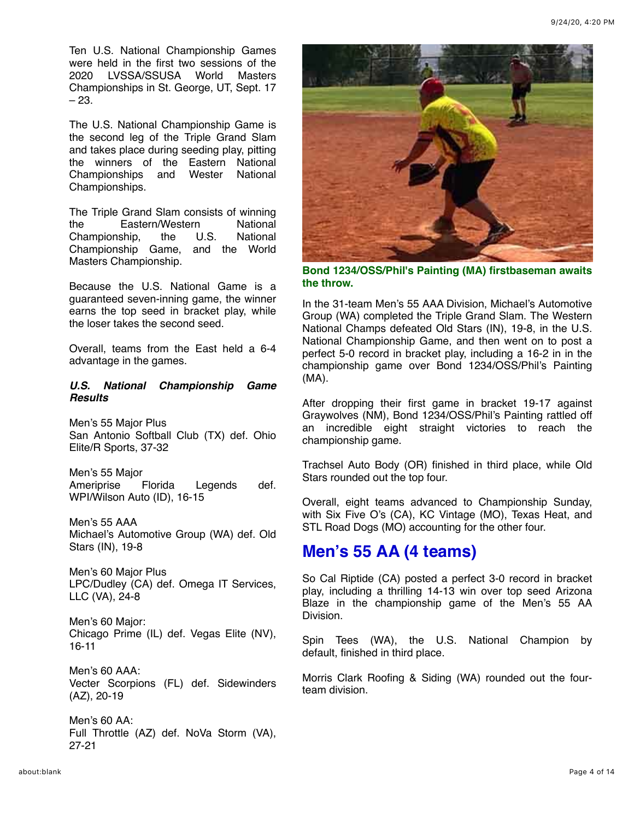Ten U.S. National Championship Games were held in the first two sessions of the 2020 LVSSA/SSUSA World Masters Championships in St. George, UT, Sept. 17 – 23.

The U.S. National Championship Game is the second leg of the Triple Grand Slam and takes place during seeding play, pitting the winners of the Eastern National Championships and Wester National Championships.

The Triple Grand Slam consists of winning the Eastern/Western National Championship, the U.S. National Championship Game, and the World Masters Championship.

Because the U.S. National Game is a guaranteed seven-inning game, the winner earns the top seed in bracket play, while the loser takes the second seed.

Overall, teams from the East held a 6-4 advantage in the games.

### *U.S. National Championship Game Results*

Men's 55 Major Plus San Antonio Softball Club (TX) def. Ohio Elite/R Sports, 37-32

Men's 55 Major Ameriprise Florida Legends def. WPI/Wilson Auto (ID), 16-15

Men's 55 AAA Michael's Automotive Group (WA) def. Old Stars (IN), 19-8

Men's 60 Major Plus LPC/Dudley (CA) def. Omega IT Services, LLC (VA), 24-8

Men's 60 Major: Chicago Prime (IL) def. Vegas Elite (NV), 16-11

Men's 60 AAA: Vecter Scorpions (FL) def. Sidewinders (AZ), 20-19

Men's 60 AA: Full Throttle (AZ) def. NoVa Storm (VA), 27-21



**Bond 1234/OSS/Phil's Painting (MA) firstbaseman awaits the throw.**

In the 31-team Men's 55 AAA Division, Michael's Automotive Group (WA) completed the Triple Grand Slam. The Western National Champs defeated Old Stars (IN), 19-8, in the U.S. National Championship Game, and then went on to post a perfect 5-0 record in bracket play, including a 16-2 in in the championship game over Bond 1234/OSS/Phil's Painting (MA).

After dropping their first game in bracket 19-17 against Graywolves (NM), Bond 1234/OSS/Phil's Painting rattled off an incredible eight straight victories to reach the championship game.

Trachsel Auto Body (OR) finished in third place, while Old Stars rounded out the top four.

Overall, eight teams advanced to Championship Sunday, with Six Five O's (CA), KC Vintage (MO), Texas Heat, and STL Road Dogs (MO) accounting for the other four.

# **Men's 55 AA (4 teams)**

So Cal Riptide (CA) posted a perfect 3-0 record in bracket play, including a thrilling 14-13 win over top seed Arizona Blaze in the championship game of the Men's 55 AA Division.

Spin Tees (WA), the U.S. National Champion by default, finished in third place.

Morris Clark Roofing & Siding (WA) rounded out the fourteam division.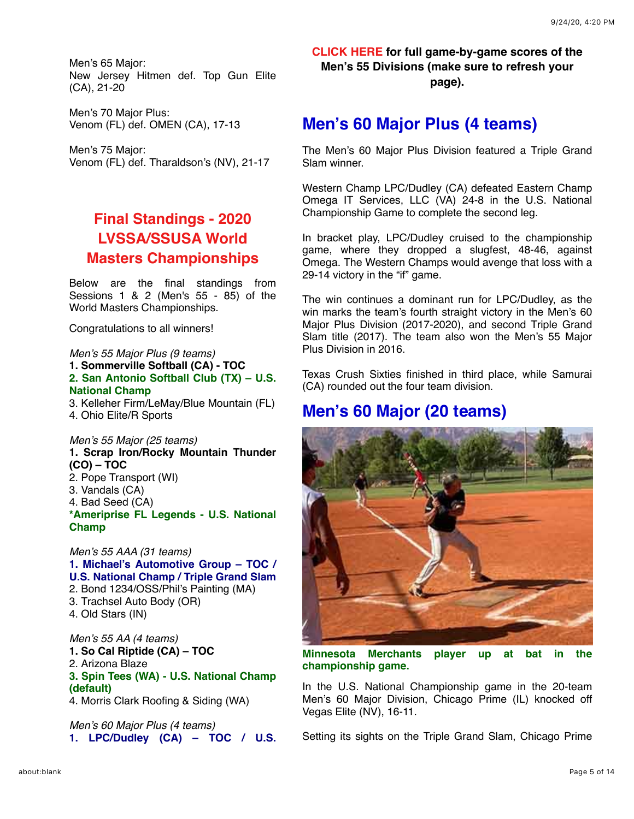Men's 65 Major: New Jersey Hitmen def. Top Gun Elite (CA), 21-20

Men's 70 Major Plus: Venom (FL) def. OMEN (CA), 17-13

Men's 75 Major: Venom (FL) def. Tharaldson's (NV), 21-17

# **Final Standings - 2020 LVSSA/SSUSA World [Masters Championships](https://mandrillapp.com/track/click/30606666/seniorsoftball.com?p=eyJzIjoiblgtYkdTeGVRSjRKb0xtb1NYRDNhdmFsVldRIiwidiI6MSwicCI6IntcInVcIjozMDYwNjY2NixcInZcIjoxLFwidXJsXCI6XCJodHRwczpcXFwvXFxcL3NlbmlvcnNvZnRiYWxsLmNvbVxcXC8_bmV3cyZzdG9yeT0xNzE2XCIsXCJpZFwiOlwiN2ZmNTU2MTAwZDBmNDEyNWI1YjFjYmVmOWM2ZDVjNzRcIixcInVybF9pZHNcIjpbXCJlNWU4MWZkMjc5ODZmMDdlOTJiZTQyZmM1NWM1MjM5MzU3MjcxYzQ4XCJdfSJ9)**

Below are the final standings from Sessions 1 & 2 (Men's 55 - 85) of the World Masters Championships.

Congratulations to all winners!

### *Men's 55 Major Plus (9 teams)*

**1. Sommerville Softball (CA) - TOC 2. San Antonio Softball Club (TX) – U.S. National Champ**

3. Kelleher Firm/LeMay/Blue Mountain (FL) 4. Ohio Elite/R Sports

#### *Men's 55 Major (25 teams)*

**1. Scrap Iron/Rocky Mountain Thunder (CO) – TOC** 2. Pope Transport (WI)

- 3. Vandals (CA)
- 
- 4. Bad Seed (CA)

**\*Ameriprise FL Legends - U.S. National Champ**

*Men's 55 AAA (31 teams)* **1. Michael's Automotive Group – TOC / U.S. National Champ / Triple Grand Slam** 2. Bond 1234/OSS/Phil's Painting (MA) 3. Trachsel Auto Body (OR) 4. Old Stars (IN)

*Men's 55 AA (4 teams)* **1. So Cal Riptide (CA) – TOC** 2. Arizona Blaze **3. Spin Tees (WA) - U.S. National Champ (default)** 4. Morris Clark Roofing & Siding (WA)

*Men's 60 Major Plus (4 teams)* **1. LPC/Dudley (CA) – TOC / U.S.** **[CLICK HERE](https://mandrillapp.com/track/click/30606666/www.seniorsoftball.com?p=eyJzIjoiMjdPRWd2c1kzZjlic0pyQ0dkVndkdVFBX3c0IiwidiI6MSwicCI6IntcInVcIjozMDYwNjY2NixcInZcIjoxLFwidXJsXCI6XCJodHRwczpcXFwvXFxcL3d3dy5zZW5pb3Jzb2Z0YmFsbC5jb21cXFwvd2NcXFwvd2MyMDIwXFxcL1dNQy0yMC01NS5wZGZcIixcImlkXCI6XCI3ZmY1NTYxMDBkMGY0MTI1YjViMWNiZWY5YzZkNWM3NFwiLFwidXJsX2lkc1wiOltcIjdlYjczNzgzZDY2N2YzMWEwZGM5YTFmMmVmNjU0YmViNGIwMWJjNGRcIl19In0) for full game-by-game scores of the Men's 55 Divisions (make sure to refresh your page).**

### **Men's 60 Major Plus (4 teams)**

The Men's 60 Major Plus Division featured a Triple Grand Slam winner.

Western Champ LPC/Dudley (CA) defeated Eastern Champ Omega IT Services, LLC (VA) 24-8 in the U.S. National Championship Game to complete the second leg.

In bracket play, LPC/Dudley cruised to the championship game, where they dropped a slugfest, 48-46, against Omega. The Western Champs would avenge that loss with a 29-14 victory in the "if" game.

The win continues a dominant run for LPC/Dudley, as the win marks the team's fourth straight victory in the Men's 60 Major Plus Division (2017-2020), and second Triple Grand Slam title (2017). The team also won the Men's 55 Major Plus Division in 2016.

Texas Crush Sixties finished in third place, while Samurai (CA) rounded out the four team division.

### **Men's 60 Major (20 teams)**



**Minnesota Merchants player up at bat in the championship game.**

In the U.S. National Championship game in the 20-team Men's 60 Major Division, Chicago Prime (IL) knocked off Vegas Elite (NV), 16-11.

Setting its sights on the Triple Grand Slam, Chicago Prime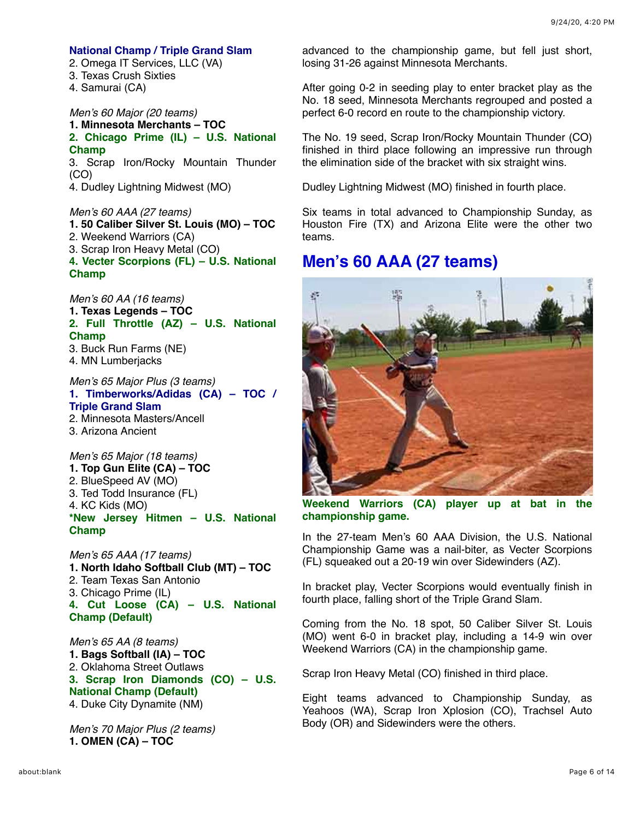#### **National Champ / Triple Grand Slam**

- 2. Omega IT Services, LLC (VA)
- 3. Texas Crush Sixties
- 4. Samurai (CA)

*Men's 60 Major (20 teams)*

### **1. Minnesota Merchants – TOC 2. Chicago Prime (IL) – U.S. National Champ**

3. Scrap Iron/Rocky Mountain Thunder (CO)

4. Dudley Lightning Midwest (MO)

#### *Men's 60 AAA (27 teams)*

**1. 50 Caliber Silver St. Louis (MO) – TOC**

- 2. Weekend Warriors (CA)
- 3. Scrap Iron Heavy Metal (CO)

**4. Vecter Scorpions (FL) – U.S. National Champ**

*Men's 60 AA (16 teams)*

- **1. Texas Legends TOC**
- **2. Full Throttle (AZ) U.S. National Champ** 3. Buck Run Farms (NE)
- 4. MN Lumberjacks
- 

#### *Men's 65 Major Plus (3 teams)* **1. Timberworks/Adidas (CA) – TOC / Triple Grand Slam** 2. Minnesota Masters/Ancell

- 
- 3. Arizona Ancient

### *Men's 65 Major (18 teams)*

- **1. Top Gun Elite (CA) TOC**
- 2. BlueSpeed AV (MO)
- 3. Ted Todd Insurance (FL)
- 4. KC Kids (MO)

**\*New Jersey Hitmen – U.S. National Champ**

*Men's 65 AAA (17 teams)* **1. North Idaho Softball Club (MT) – TOC** 2. Team Texas San Antonio 3. Chicago Prime (IL) **4. Cut Loose (CA) – U.S. National Champ (Default)**

*Men's 65 AA (8 teams)* **1. Bags Softball (IA) – TOC** 2. Oklahoma Street Outlaws **3. Scrap Iron Diamonds (CO) – U.S. National Champ (Default)** 4. Duke City Dynamite (NM)

*Men's 70 Major Plus (2 teams)* **1. OMEN (CA) – TOC**

advanced to the championship game, but fell just short, losing 31-26 against Minnesota Merchants.

After going 0-2 in seeding play to enter bracket play as the No. 18 seed, Minnesota Merchants regrouped and posted a perfect 6-0 record en route to the championship victory.

The No. 19 seed, Scrap Iron/Rocky Mountain Thunder (CO) finished in third place following an impressive run through the elimination side of the bracket with six straight wins.

Dudley Lightning Midwest (MO) finished in fourth place.

Six teams in total advanced to Championship Sunday, as Houston Fire (TX) and Arizona Elite were the other two teams.

## **Men's 60 AAA (27 teams)**



**Weekend Warriors (CA) player up at bat in the championship game.**

In the 27-team Men's 60 AAA Division, the U.S. National Championship Game was a nail-biter, as Vecter Scorpions (FL) squeaked out a 20-19 win over Sidewinders (AZ).

In bracket play, Vecter Scorpions would eventually finish in fourth place, falling short of the Triple Grand Slam.

Coming from the No. 18 spot, 50 Caliber Silver St. Louis (MO) went 6-0 in bracket play, including a 14-9 win over Weekend Warriors (CA) in the championship game.

Scrap Iron Heavy Metal (CO) finished in third place.

Eight teams advanced to Championship Sunday, as Yeahoos (WA), Scrap Iron Xplosion (CO), Trachsel Auto Body (OR) and Sidewinders were the others.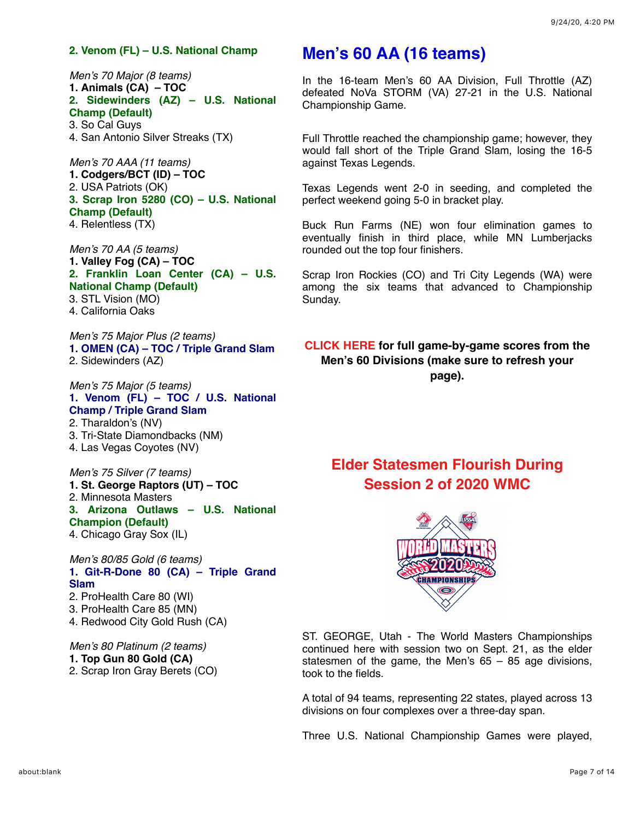#### **2. Venom (FL) – U.S. National Champ**

*Men's 70 Major (8 teams)* **1. Animals (CA) – TOC 2. Sidewinders (AZ) – U.S. National Champ (Default)** 3. So Cal Guys

4. San Antonio Silver Streaks (TX)

*Men's 70 AAA (11 teams)* **1. Codgers/BCT (ID) – TOC** 2. USA Patriots (OK) **3. Scrap Iron 5280 (CO) – U.S. National Champ (Default)** 4. Relentless (TX)

*Men's 70 AA (5 teams)* **1. Valley Fog (CA) – TOC 2. Franklin Loan Center (CA) – U.S. National Champ (Default)** 3. STL Vision (MO) 4. California Oaks

*Men's 75 Major Plus (2 teams)* **1. OMEN (CA) – TOC / Triple Grand Slam** 2. Sidewinders (AZ)

*Men's 75 Major (5 teams)* **1. Venom (FL) – TOC / U.S. National Champ / Triple Grand Slam** 2. Tharaldon's (NV) 3. Tri-State Diamondbacks (NM) 4. Las Vegas Coyotes (NV)

*Men's 75 Silver (7 teams)* **1. St. George Raptors (UT) – TOC** 2. Minnesota Masters **3. Arizona Outlaws – U.S. National Champion (Default)** 4. Chicago Gray Sox (IL)

*Men's 80/85 Gold (6 teams)* **1. Git-R-Done 80 (CA) – Triple Grand Slam** 2. ProHealth Care 80 (WI) 3. ProHealth Care 85 (MN)

4. Redwood City Gold Rush (CA)

*Men's 80 Platinum (2 teams)* **1. Top Gun 80 Gold (CA)** 2. Scrap Iron Gray Berets (CO)

## **Men's 60 AA (16 teams)**

In the 16-team Men's 60 AA Division, Full Throttle (AZ) defeated NoVa STORM (VA) 27-21 in the U.S. National Championship Game.

Full Throttle reached the championship game; however, they would fall short of the Triple Grand Slam, losing the 16-5 against Texas Legends.

Texas Legends went 2-0 in seeding, and completed the perfect weekend going 5-0 in bracket play.

Buck Run Farms (NE) won four elimination games to eventually finish in third place, while MN Lumberjacks rounded out the top four finishers.

Scrap Iron Rockies (CO) and Tri City Legends (WA) were among the six teams that advanced to Championship Sunday.

**[CLICK HERE](https://mandrillapp.com/track/click/30606666/www.seniorsoftball.com?p=eyJzIjoiT3ZyM0ZrSTdRZGZHN05XR29NN2hhem44WUdBIiwidiI6MSwicCI6IntcInVcIjozMDYwNjY2NixcInZcIjoxLFwidXJsXCI6XCJodHRwczpcXFwvXFxcL3d3dy5zZW5pb3Jzb2Z0YmFsbC5jb21cXFwvd2NcXFwvd2MyMDIwXFxcL1dNQy0yMC02MC5wZGZcIixcImlkXCI6XCI3ZmY1NTYxMDBkMGY0MTI1YjViMWNiZWY5YzZkNWM3NFwiLFwidXJsX2lkc1wiOltcImQ0OTRlYWY5OGE1MmI2ZDMxM2VkY2U3ZjRlYjM4NjM5ZjhkZmZhYWZcIl19In0) for full game-by-game scores from the Men's 60 Divisions (make sure to refresh your page).**

## **[Elder Statesmen Flourish During](https://mandrillapp.com/track/click/30606666/seniorsoftball.com?p=eyJzIjoidDBWUmszWXl3OUNET0lsYWtvT2VLNjhuYmFVIiwidiI6MSwicCI6IntcInVcIjozMDYwNjY2NixcInZcIjoxLFwidXJsXCI6XCJodHRwczpcXFwvXFxcL3NlbmlvcnNvZnRiYWxsLmNvbVxcXC8_bmV3cyZzdG9yeT0xNzIwXCIsXCJpZFwiOlwiN2ZmNTU2MTAwZDBmNDEyNWI1YjFjYmVmOWM2ZDVjNzRcIixcInVybF9pZHNcIjpbXCJlNWU4MWZkMjc5ODZmMDdlOTJiZTQyZmM1NWM1MjM5MzU3MjcxYzQ4XCJdfSJ9) Session 2 of 2020 WMC**



ST. GEORGE, Utah - The World Masters Championships continued here with session two on Sept. 21, as the elder statesmen of the game, the Men's  $65 - 85$  age divisions, took to the fields.

A total of 94 teams, representing 22 states, played across 13 divisions on four complexes over a three-day span.

Three U.S. National Championship Games were played,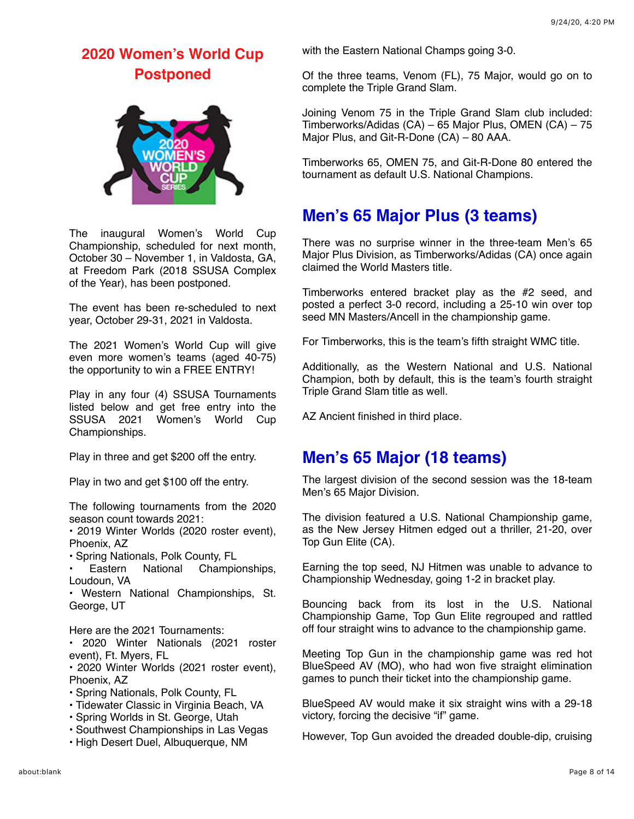## **[2020 Women's World Cup](https://mandrillapp.com/track/click/30606666/seniorsoftball.com?p=eyJzIjoiTGU4TzlwMzRtVy00cDVkdnZXLW1Dbjkzb01JIiwidiI6MSwicCI6IntcInVcIjozMDYwNjY2NixcInZcIjoxLFwidXJsXCI6XCJodHRwczpcXFwvXFxcL3NlbmlvcnNvZnRiYWxsLmNvbVxcXC8_bmV3cyZzdG9yeT0xNzIxXCIsXCJpZFwiOlwiN2ZmNTU2MTAwZDBmNDEyNWI1YjFjYmVmOWM2ZDVjNzRcIixcInVybF9pZHNcIjpbXCJlNWU4MWZkMjc5ODZmMDdlOTJiZTQyZmM1NWM1MjM5MzU3MjcxYzQ4XCJdfSJ9) Postponed**



The inaugural Women's World Cup Championship, scheduled for next month, October 30 – November 1, in Valdosta, GA, at Freedom Park (2018 SSUSA Complex of the Year), has been postponed.

The event has been re-scheduled to next year, October 29-31, 2021 in Valdosta.

The 2021 Women's World Cup will give even more women's teams (aged 40-75) the opportunity to win a FREE ENTRY!

Play in any four (4) SSUSA Tournaments listed below and get free entry into the SSUSA 2021 Women's World Cup Championships.

Play in three and get \$200 off the entry.

Play in two and get \$100 off the entry.

The following tournaments from the 2020 season count towards 2021:

• 2019 Winter Worlds (2020 roster event), Phoenix, AZ

- Spring Nationals, Polk County, FL
- Eastern National Championships, Loudoun, VA

• Western National Championships, St. George, UT

Here are the 2021 Tournaments:

• 2020 Winter Nationals (2021 roster event), Ft. Myers, FL

• 2020 Winter Worlds (2021 roster event), Phoenix, AZ

- Spring Nationals, Polk County, FL
- Tidewater Classic in Virginia Beach, VA
- Spring Worlds in St. George, Utah
- Southwest Championships in Las Vegas
- High Desert Duel, Albuquerque, NM

with the Eastern National Champs going 3-0.

Of the three teams, Venom (FL), 75 Major, would go on to complete the Triple Grand Slam.

Joining Venom 75 in the Triple Grand Slam club included: Timberworks/Adidas (CA) – 65 Major Plus, OMEN (CA) – 75 Major Plus, and Git-R-Done (CA) – 80 AAA.

Timberworks 65, OMEN 75, and Git-R-Done 80 entered the tournament as default U.S. National Champions.

# **Men's 65 Major Plus (3 teams)**

There was no surprise winner in the three-team Men's 65 Major Plus Division, as Timberworks/Adidas (CA) once again claimed the World Masters title.

Timberworks entered bracket play as the #2 seed, and posted a perfect 3-0 record, including a 25-10 win over top seed MN Masters/Ancell in the championship game.

For Timberworks, this is the team's fifth straight WMC title.

Additionally, as the Western National and U.S. National Champion, both by default, this is the team's fourth straight Triple Grand Slam title as well.

AZ Ancient finished in third place.

## **Men's 65 Major (18 teams)**

The largest division of the second session was the 18-team Men's 65 Major Division.

The division featured a U.S. National Championship game, as the New Jersey Hitmen edged out a thriller, 21-20, over Top Gun Elite (CA).

Earning the top seed, NJ Hitmen was unable to advance to Championship Wednesday, going 1-2 in bracket play.

Bouncing back from its lost in the U.S. National Championship Game, Top Gun Elite regrouped and rattled off four straight wins to advance to the championship game.

Meeting Top Gun in the championship game was red hot BlueSpeed AV (MO), who had won five straight elimination games to punch their ticket into the championship game.

BlueSpeed AV would make it six straight wins with a 29-18 victory, forcing the decisive "if" game.

However, Top Gun avoided the dreaded double-dip, cruising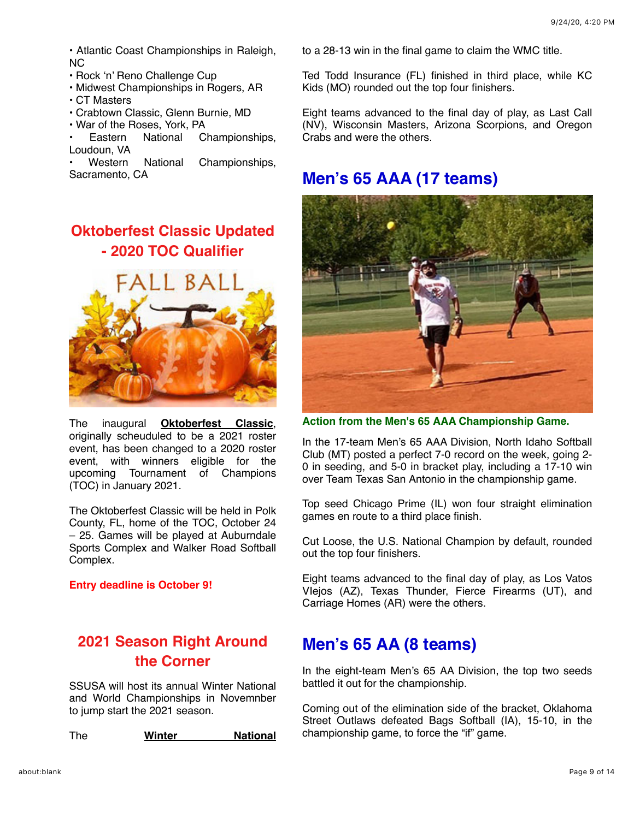• Atlantic Coast Championships in Raleigh, NC

- Rock 'n' Reno Challenge Cup
- Midwest Championships in Rogers, AR
- CT Masters
- Crabtown Classic, Glenn Burnie, MD
- War of the Roses, York, PA<br>• Eastern National C
- Eastern National Championships, Loudoun, VA

• Western National Championships, Sacramento, CA

# **[Oktoberfest Classic Updated](https://mandrillapp.com/track/click/30606666/seniorsoftball.com?p=eyJzIjoiVHpyRThNMnVka3NjSENNd3hRRXlzX251aWMwIiwidiI6MSwicCI6IntcInVcIjozMDYwNjY2NixcInZcIjoxLFwidXJsXCI6XCJodHRwczpcXFwvXFxcL3NlbmlvcnNvZnRiYWxsLmNvbVxcXC8_bmV3cyZzdG9yeT0xNzA3XCIsXCJpZFwiOlwiN2ZmNTU2MTAwZDBmNDEyNWI1YjFjYmVmOWM2ZDVjNzRcIixcInVybF9pZHNcIjpbXCJlNWU4MWZkMjc5ODZmMDdlOTJiZTQyZmM1NWM1MjM5MzU3MjcxYzQ4XCJdfSJ9) - 2020 TOC Qualifier**



The inaugural **[Oktoberfest Classic](https://mandrillapp.com/track/click/30606666/seniorsoftball.com?p=eyJzIjoicVhoLWhjR2ZzQ2NzNFNQSFBfZ25XcVc1TkNFIiwidiI6MSwicCI6IntcInVcIjozMDYwNjY2NixcInZcIjoxLFwidXJsXCI6XCJodHRwczpcXFwvXFxcL3NlbmlvcnNvZnRiYWxsLmNvbVxcXC8_ZXZlbnQ9MTU1NVwiLFwiaWRcIjpcIjdmZjU1NjEwMGQwZjQxMjViNWIxY2JlZjljNmQ1Yzc0XCIsXCJ1cmxfaWRzXCI6W1wiZTVlODFmZDI3OTg2ZjA3ZTkyYmU0MmZjNTVjNTIzOTM1NzI3MWM0OFwiXX0ifQ)**, originally scheuduled to be a 2021 roster event, has been changed to a 2020 roster event, with winners eligible for the upcoming Tournament of Champions (TOC) in January 2021.

The Oktoberfest Classic will be held in Polk County, FL, home of the TOC, October 24 – 25. Games will be played at Auburndale Sports Complex and Walker Road Softball Complex.

#### **Entry deadline is October 9!**

## **[2021 Season Right Around](https://mandrillapp.com/track/click/30606666/seniorsoftball.com?p=eyJzIjoidkc3bXJDeDR1WE1fSVRCWWhHZDdwZ2ltV0pJIiwidiI6MSwicCI6IntcInVcIjozMDYwNjY2NixcInZcIjoxLFwidXJsXCI6XCJodHRwczpcXFwvXFxcL3NlbmlvcnNvZnRiYWxsLmNvbVxcXC8_bmV3cyZzdG9yeT0xNzE3XCIsXCJpZFwiOlwiN2ZmNTU2MTAwZDBmNDEyNWI1YjFjYmVmOWM2ZDVjNzRcIixcInVybF9pZHNcIjpbXCJlNWU4MWZkMjc5ODZmMDdlOTJiZTQyZmM1NWM1MjM5MzU3MjcxYzQ4XCJdfSJ9) the Corner**

SSUSA will host its annual Winter National and World Championships in Novemnber to jump start the 2021 season.

The **[Winter National](https://mandrillapp.com/track/click/30606666/seniorsoftball.com?p=eyJzIjoibmN3LUoyWVFHMzFLTEVveExUVFY4QTJGSm44IiwidiI6MSwicCI6IntcInVcIjozMDYwNjY2NixcInZcIjoxLFwidXJsXCI6XCJodHRwczpcXFwvXFxcL3NlbmlvcnNvZnRiYWxsLmNvbVxcXC8_ZXZlbnQ9MTUxM1wiLFwiaWRcIjpcIjdmZjU1NjEwMGQwZjQxMjViNWIxY2JlZjljNmQ1Yzc0XCIsXCJ1cmxfaWRzXCI6W1wiZTVlODFmZDI3OTg2ZjA3ZTkyYmU0MmZjNTVjNTIzOTM1NzI3MWM0OFwiXX0ifQ)**

to a 28-13 win in the final game to claim the WMC title.

Ted Todd Insurance (FL) finished in third place, while KC Kids (MO) rounded out the top four finishers.

Eight teams advanced to the final day of play, as Last Call (NV), Wisconsin Masters, Arizona Scorpions, and Oregon Crabs and were the others.

### **Men's 65 AAA (17 teams)**



**Action from the Men's 65 AAA Championship Game.**

In the 17-team Men's 65 AAA Division, North Idaho Softball Club (MT) posted a perfect 7-0 record on the week, going 2- 0 in seeding, and 5-0 in bracket play, including a 17-10 win over Team Texas San Antonio in the championship game.

Top seed Chicago Prime (IL) won four straight elimination games en route to a third place finish.

Cut Loose, the U.S. National Champion by default, rounded out the top four finishers.

Eight teams advanced to the final day of play, as Los Vatos VIejos (AZ), Texas Thunder, Fierce Firearms (UT), and Carriage Homes (AR) were the others.

## **Men's 65 AA (8 teams)**

In the eight-team Men's 65 AA Division, the top two seeds battled it out for the championship.

Coming out of the elimination side of the bracket, Oklahoma Street Outlaws defeated Bags Softball (IA), 15-10, in the championship game, to force the "if" game.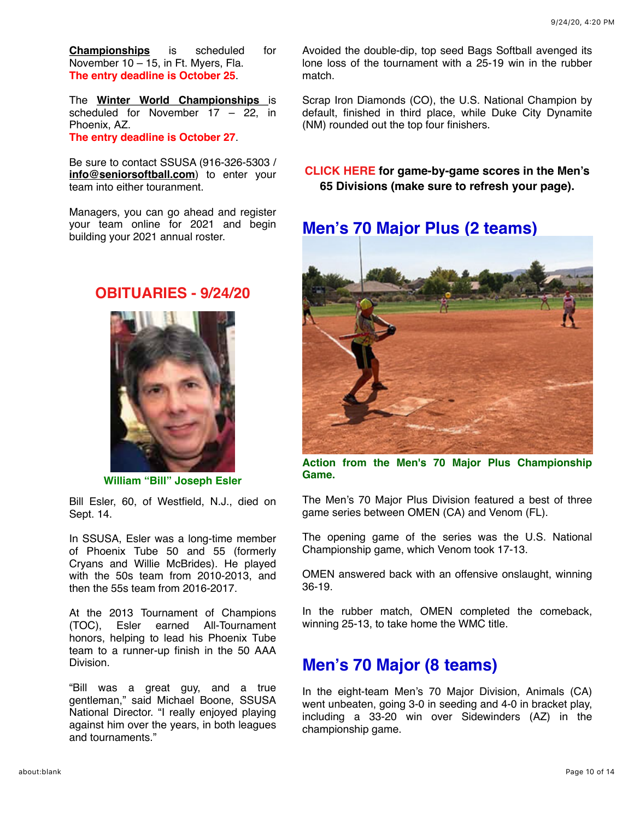**Championships** is [scheduled for](https://mandrillapp.com/track/click/30606666/seniorsoftball.com?p=eyJzIjoibmN3LUoyWVFHMzFLTEVveExUVFY4QTJGSm44IiwidiI6MSwicCI6IntcInVcIjozMDYwNjY2NixcInZcIjoxLFwidXJsXCI6XCJodHRwczpcXFwvXFxcL3NlbmlvcnNvZnRiYWxsLmNvbVxcXC8_ZXZlbnQ9MTUxM1wiLFwiaWRcIjpcIjdmZjU1NjEwMGQwZjQxMjViNWIxY2JlZjljNmQ1Yzc0XCIsXCJ1cmxfaWRzXCI6W1wiZTVlODFmZDI3OTg2ZjA3ZTkyYmU0MmZjNTVjNTIzOTM1NzI3MWM0OFwiXX0ifQ) November 10 – 15, in Ft. Myers, Fla. **The entry deadline is October 25**.

The **[Winter World Championships](https://mandrillapp.com/track/click/30606666/seniorsoftball.com?p=eyJzIjoibzlZT3B4S0RDVDRRWDJfVFlmMVhaaUNud2NvIiwidiI6MSwicCI6IntcInVcIjozMDYwNjY2NixcInZcIjoxLFwidXJsXCI6XCJodHRwczpcXFwvXFxcL3NlbmlvcnNvZnRiYWxsLmNvbVxcXC8_ZXZlbnQ9MTUxNFwiLFwiaWRcIjpcIjdmZjU1NjEwMGQwZjQxMjViNWIxY2JlZjljNmQ1Yzc0XCIsXCJ1cmxfaWRzXCI6W1wiZTVlODFmZDI3OTg2ZjA3ZTkyYmU0MmZjNTVjNTIzOTM1NzI3MWM0OFwiXX0ifQ)** is scheduled for November 17 – 22, in Phoenix, AZ. **The entry deadline is October 27**.

Be sure to contact SSUSA (916-326-5303 / **[info@seniorsoftball.com](mailto:info@seniorsoftball.com)**) to enter your team into either touranment.

Managers, you can go ahead and register your team online for 2021 and begin building your 2021 annual roster.

### **[OBITUARIES - 9/24/20](https://mandrillapp.com/track/click/30606666/seniorsoftball.com?p=eyJzIjoicTZHc1VWbjFDSFRwei12ME5iTTQxeEtPUTVRIiwidiI6MSwicCI6IntcInVcIjozMDYwNjY2NixcInZcIjoxLFwidXJsXCI6XCJodHRwczpcXFwvXFxcL3NlbmlvcnNvZnRiYWxsLmNvbVxcXC8_bmV3cyZzdG9yeT0xNzE0XCIsXCJpZFwiOlwiN2ZmNTU2MTAwZDBmNDEyNWI1YjFjYmVmOWM2ZDVjNzRcIixcInVybF9pZHNcIjpbXCJlNWU4MWZkMjc5ODZmMDdlOTJiZTQyZmM1NWM1MjM5MzU3MjcxYzQ4XCJdfSJ9)**



**William "Bill" Joseph Esler**

Bill Esler, 60, of Westfield, N.J., died on Sept. 14.

In SSUSA, Esler was a long-time member of Phoenix Tube 50 and 55 (formerly Cryans and Willie McBrides). He played with the 50s team from 2010-2013, and then the 55s team from 2016-2017.

At the 2013 Tournament of Champions (TOC), Esler earned All-Tournament honors, helping to lead his Phoenix Tube team to a runner-up finish in the 50 AAA Division.

"Bill was a great guy, and a true gentleman," said Michael Boone, SSUSA National Director. "I really enjoyed playing against him over the years, in both leagues and tournaments."

Avoided the double-dip, top seed Bags Softball avenged its lone loss of the tournament with a 25-19 win in the rubber match.

Scrap Iron Diamonds (CO), the U.S. National Champion by default, finished in third place, while Duke City Dynamite (NM) rounded out the top four finishers.

**[CLICK HERE](https://mandrillapp.com/track/click/30606666/www.seniorsoftball.com?p=eyJzIjoiS1FEczFWNUMwOGg5QzNsTVp1aExhZTREb2M0IiwidiI6MSwicCI6IntcInVcIjozMDYwNjY2NixcInZcIjoxLFwidXJsXCI6XCJodHRwczpcXFwvXFxcL3d3dy5zZW5pb3Jzb2Z0YmFsbC5jb21cXFwvd2NcXFwvd2MyMDIwXFxcL1dNQy0yMC02NS5wZGZcIixcImlkXCI6XCI3ZmY1NTYxMDBkMGY0MTI1YjViMWNiZWY5YzZkNWM3NFwiLFwidXJsX2lkc1wiOltcIjYwZTI4YjQ4YjBlNTc1ZDE4ZTIyMzM1MDlkMTJjNTc0MmQwMWNmYmZcIl19In0) for game-by-game scores in the Men's 65 Divisions (make sure to refresh your page).**

# **Men's 70 Major Plus (2 teams)**



**Action from the Men's 70 Major Plus Championship Game.**

The Men's 70 Major Plus Division featured a best of three game series between OMEN (CA) and Venom (FL).

The opening game of the series was the U.S. National Championship game, which Venom took 17-13.

OMEN answered back with an offensive onslaught, winning 36-19.

In the rubber match, OMEN completed the comeback, winning 25-13, to take home the WMC title.

# **Men's 70 Major (8 teams)**

In the eight-team Men's 70 Major Division, Animals (CA) went unbeaten, going 3-0 in seeding and 4-0 in bracket play, including a 33-20 win over Sidewinders (AZ) in the championship game.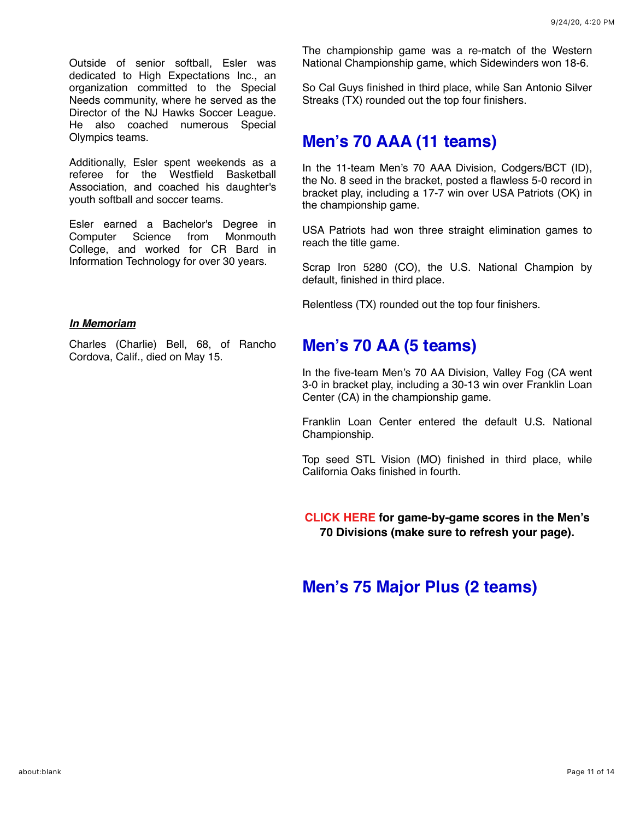Outside of senior softball, Esler was dedicated to High Expectations Inc., an organization committed to the Special Needs community, where he served as the Director of the NJ Hawks Soccer League. He also coached numerous Special Olympics teams.

Additionally, Esler spent weekends as a referee for the Westfield Basketball Association, and coached his daughter's youth softball and soccer teams.

Esler earned a Bachelor's Degree in Computer Science from Monmouth College, and worked for CR Bard in Information Technology for over 30 years.

#### *In Memoriam*

Charles (Charlie) Bell, 68, of Rancho Cordova, Calif., died on May 15.

The championship game was a re-match of the Western National Championship game, which Sidewinders won 18-6.

So Cal Guys finished in third place, while San Antonio Silver Streaks (TX) rounded out the top four finishers.

### **Men's 70 AAA (11 teams)**

In the 11-team Men's 70 AAA Division, Codgers/BCT (ID), the No. 8 seed in the bracket, posted a flawless 5-0 record in bracket play, including a 17-7 win over USA Patriots (OK) in the championship game.

USA Patriots had won three straight elimination games to reach the title game.

Scrap Iron 5280 (CO), the U.S. National Champion by default, finished in third place.

Relentless (TX) rounded out the top four finishers.

### **Men's 70 AA (5 teams)**

In the five-team Men's 70 AA Division, Valley Fog (CA went 3-0 in bracket play, including a 30-13 win over Franklin Loan Center (CA) in the championship game.

Franklin Loan Center entered the default U.S. National Championship.

Top seed STL Vision (MO) finished in third place, while California Oaks finished in fourth.

**[CLICK HERE](https://mandrillapp.com/track/click/30606666/www.seniorsoftball.com?p=eyJzIjoiWDQ2RWZhUlJyZUlzUFRTcWowYUVBQmtpWE5zIiwidiI6MSwicCI6IntcInVcIjozMDYwNjY2NixcInZcIjoxLFwidXJsXCI6XCJodHRwczpcXFwvXFxcL3d3dy5zZW5pb3Jzb2Z0YmFsbC5jb21cXFwvd2NcXFwvd2MyMDIwXFxcL1dNQy0yMC03MC5wZGZcIixcImlkXCI6XCI3ZmY1NTYxMDBkMGY0MTI1YjViMWNiZWY5YzZkNWM3NFwiLFwidXJsX2lkc1wiOltcIjc5ZWEwNGE4YTMxYjFiMmFmOTJjMGUxZWFlYjI1MDJhZTI2NTA1NmFcIl19In0) for game-by-game scores in the Men's 70 Divisions (make sure to refresh your page).**

## **Men's 75 Major Plus (2 teams)**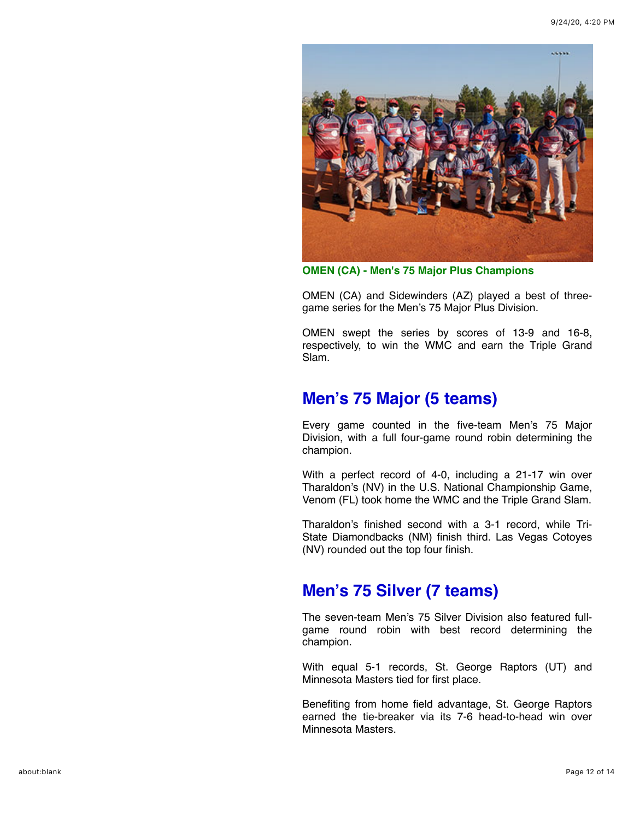

**OMEN (CA) - Men's 75 Major Plus Champions**

OMEN (CA) and Sidewinders (AZ) played a best of threegame series for the Men's 75 Major Plus Division.

OMEN swept the series by scores of 13-9 and 16-8, respectively, to win the WMC and earn the Triple Grand Slam.

# **Men's 75 Major (5 teams)**

Every game counted in the five-team Men's 75 Major Division, with a full four-game round robin determining the champion.

With a perfect record of 4-0, including a 21-17 win over Tharaldon's (NV) in the U.S. National Championship Game, Venom (FL) took home the WMC and the Triple Grand Slam.

Tharaldon's finished second with a 3-1 record, while Tri-State Diamondbacks (NM) finish third. Las Vegas Cotoyes (NV) rounded out the top four finish.

# **Men's 75 Silver (7 teams)**

The seven-team Men's 75 Silver Division also featured fullgame round robin with best record determining the champion.

With equal 5-1 records, St. George Raptors (UT) and Minnesota Masters tied for first place.

Benefiting from home field advantage, St. George Raptors earned the tie-breaker via its 7-6 head-to-head win over Minnesota Masters.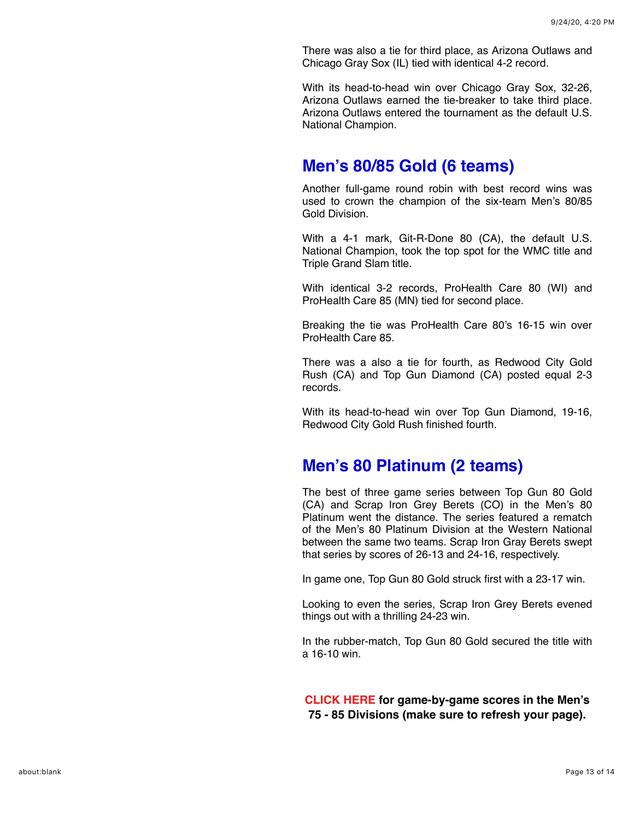There was also a tie for third place, as Arizona Outlaws and Chicago Gray Sox (IL) tied with identical 4-2 record.

With its head-to-head win over Chicago Gray Sox, 32-26, Arizona Outlaws earned the tie-breaker to take third place. Arizona Outlaws entered the tournament as the default U.S. National Champion.

### **Men's 80/85 Gold (6 teams)**

Another full-game round robin with best record wins was used to crown the champion of the six-team Men's 80/85 Gold Division.

With a 4-1 mark, Git-R-Done 80 (CA), the default U.S. National Champion, took the top spot for the WMC title and Triple Grand Slam title.

With identical 3-2 records, ProHealth Care 80 (WI) and ProHealth Care 85 (MN) tied for second place.

Breaking the tie was ProHealth Care 80's 16-15 win over ProHealth Care 85.

There was a also a tie for fourth, as Redwood City Gold Rush (CA) and Top Gun Diamond (CA) posted equal 2-3 records.

With its head-to-head win over Top Gun Diamond, 19-16, Redwood City Gold Rush finished fourth.

### **Men's 80 Platinum (2 teams)**

The best of three game series between Top Gun 80 Gold (CA) and Scrap Iron Grey Berets (CO) in the Men's 80 Platinum went the distance. The series featured a rematch of the Men's 80 Platinum Division at the Western National between the same two teams. Scrap Iron Gray Berets swept that series by scores of 26-13 and 24-16, respectively.

In game one, Top Gun 80 Gold struck first with a 23-17 win.

Looking to even the series, Scrap Iron Grey Berets evened things out with a thrilling 24-23 win.

In the rubber-match, Top Gun 80 Gold secured the title with a 16-10 win.

**[CLICK HERE f](https://mandrillapp.com/track/click/30606666/www.seniorsoftball.com?p=eyJzIjoiZUJnbTJxN3JXbnB6OTRMZi1yZUYtQWtvN3hVIiwidiI6MSwicCI6IntcInVcIjozMDYwNjY2NixcInZcIjoxLFwidXJsXCI6XCJodHRwczpcXFwvXFxcL3d3dy5zZW5pb3Jzb2Z0YmFsbC5jb21cXFwvd2NcXFwvd2MyMDIwXFxcL1dNQy0yMC03NS5wZGZcIixcImlkXCI6XCI3ZmY1NTYxMDBkMGY0MTI1YjViMWNiZWY5YzZkNWM3NFwiLFwidXJsX2lkc1wiOltcImJkZjgyNTBhOTkzZWRhZDExOWRiMWVhYjE2MzYxOGYxYzljM2Y4YjNcIl19In0)or game-by-game scores in the Men's 75 - 85 Divisions (make sure to refresh your page).**